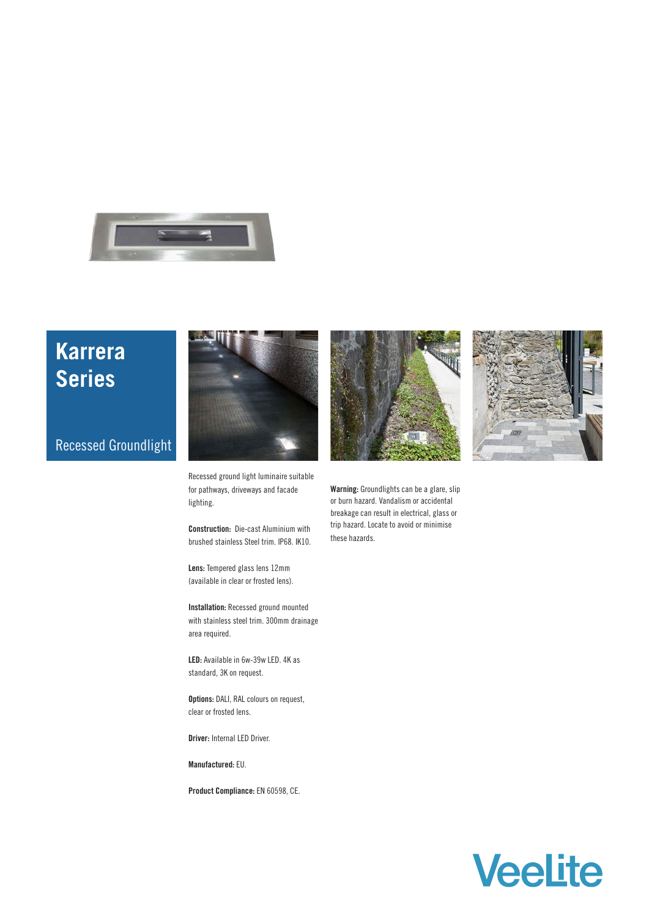

# **Karrera Series**

## Recessed Groundlight



Recessed ground light luminaire suitable for pathways, driveways and facade lighting.

**Construction:** Die-cast Aluminium with brushed stainless Steel trim. IP68. IK10.

**Lens:** Tempered glass lens 12mm (available in clear or frosted lens).

**Installation:** Recessed ground mounted with stainless steel trim. 300mm drainage area required.

**LED:** Available in 6w-39w LED. 4K as standard, 3K on request.

**Options:** DALI, RAL colours on request, clear or frosted lens.

**Driver:** Internal LED Driver.

**Manufactured:** EU.

**Product Compliance:** EN 60598, CE.





**Warning:** Groundlights can be a glare, slip or burn hazard. Vandalism or accidental breakage can result in electrical, glass or trip hazard. Locate to avoid or minimise these hazards.